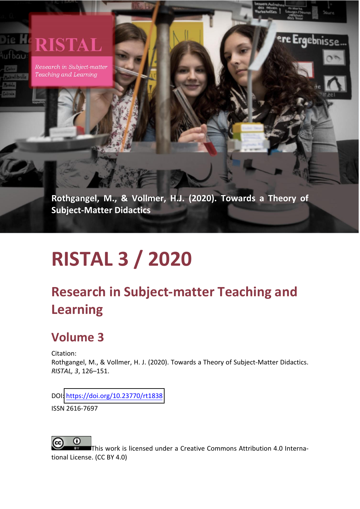#### Die He **RISTAL** ufbau

Research in Subject-matter Teaching and Learning

> **Rothgangel, M., & Vollmer, H.J. (2020). Towards a Theory of Subject-Matter Didactics**

e Ergebnisse.

# **RISTAL 3 / 2020**

# **Research in Subject-matter Teaching and Learning**

# **Volume 3**

Citation: Rothgangel, M., & Vollmer, H. J. (2020). Towards a Theory of Subject-Matter Didactics. *RISTAL, 3*, 126–151.

DOI[: https://doi.org/10.23770/](https://doi.org/10.23770/rt1838)rt1838

ISSN 2616-7697



This work is licensed under a Creative Commons Attribution 4.0 International License. (CC BY 4.0)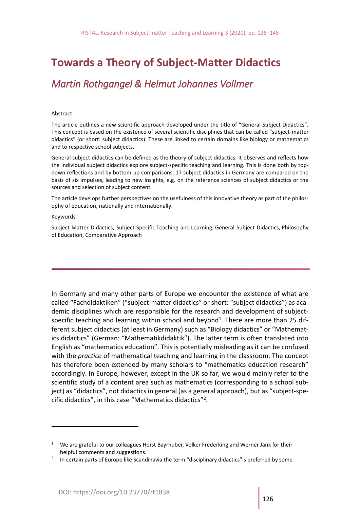# **Towards a Theory of Subject-Matter Didactics**

# *Martin Rothgangel & Helmut Johannes Vollmer*

#### Abstract

The article outlines a new scientific approach developed under the title of "General Subject Didactics". This concept is based on the existence of several scientific disciplines that can be called "subject-matter didactics" (or short: subject didactics). These are linked to certain domains like biology or mathematics and to respective school subjects.

General subject didactics can be defined as the theory of subject didactics. It observes and reflects how the individual subject didactics explore subject-specific teaching and learning. This is done both by topdown reflections and by bottom-up comparisons. 17 subject didactics in Germany are compared on the basis of six impulses, leading to new insights, e.g. on the reference sciences of subject didactics or the sources and selection of subject content.

The article develops further perspectives on the usefulness of this innovative theory as part of the philosophy of education, nationally and internationally.

#### Keywords

Subject-Matter Didactics, Subject-Specific Teaching and Learning, General Subject Didactics, Philosophy of Education, Comparative Approach

In Germany and many other parts of Europe we encounter the existence of what are called "Fachdidaktiken" ("subject-matter didactics" or short: "subject didactics") as academic disciplines which are responsible for the research and development of subjectspecific teaching and learning within school and beyond<sup>1</sup>. There are more than 25 different subject didactics (at least in Germany) such as "Biology didactics" or "Mathematics didactics" (German: "Mathematikdidaktik"). The latter term is often translated into English as "mathematics education". This is potentially misleading as it can be confused with the *practice* of mathematical teaching and learning in the classroom. The concept has therefore been extended by many scholars to "mathematics education research" accordingly. In Europe, however, except in the UK so far, we would mainly refer to the scientific study of a content area such as mathematics (corresponding to a school subject) as "didactics", not didactics in general (as a general approach), but as "subject-specific didactics", in this case "Mathematics didactics"<sup>2</sup> .

<sup>&</sup>lt;sup>1</sup> We are grateful to our colleagues Horst Bayrhuber, Volker Frederking and Werner Jank for their helpful comments and suggestions.

<sup>&</sup>lt;sup>2</sup> In certain parts of Europe like Scandinavia the term "disciplinary didactics" is preferred by some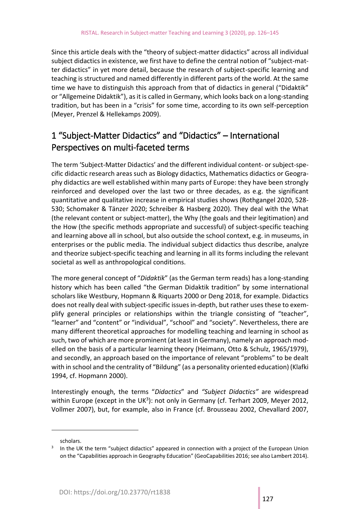Since this article deals with the "theory of subject-matter didactics" across all individual subject didactics in existence, we first have to define the central notion of "subject-matter didactics" in yet more detail, because the research of subject-specific learning and teaching is structured and named differently in different parts of the world. At the same time we have to distinguish this approach from that of didactics in general ("Didaktik" or "Allgemeine Didaktik"), as it is called in Germany, which looks back on a long-standing tradition, but has been in a "crisis" for some time, according to its own self-perception (Meyer, Prenzel & Hellekamps 2009).

# 1 "Subject-Matter Didactics" and "Didactics" – International Perspectives on multi-faceted terms

The term 'Subject-Matter Didactics' and the different individual content- or subject-specific didactic research areas such as Biology didactics, Mathematics didactics or Geography didactics are well established within many parts of Europe: they have been strongly reinforced and developed over the last two or three decades, as e.g. the significant quantitative and qualitative increase in empirical studies shows (Rothgangel 2020, 528- 530; Schomaker & Tänzer 2020; Schreiber & Hasberg 2020). They deal with the What (the relevant content or subject-matter), the Why (the goals and their legitimation) and the How (the specific methods appropriate and successful) of subject-specific teaching and learning above all in school, but also outside the school context, e.g. in museums, in enterprises or the public media. The individual subject didactics thus describe, analyze and theorize subject-specific teaching and learning in all its forms including the relevant societal as well as anthropological conditions.

The more general concept of "*Didaktik*" (as the German term reads) has a long-standing history which has been called "the German Didaktik tradition" by some international scholars like Westbury, Hopmann & Riquarts 2000 or Deng 2018, for example. Didactics does not really deal with subject-specific issues in-depth, but rather uses these to exemplify general principles or relationships within the triangle consisting of "teacher", "learner" and "content" or "individual", "school" and "society". Nevertheless, there are many different theoretical approaches for modelling teaching and learning in school as such, two of which are more prominent (at least in Germany), namely an approach modelled on the basis of a particular learning theory (Heimann, Otto & Schulz, 1965/1979), and secondly, an approach based on the importance of relevant "problems" to be dealt with in school and the centrality of "Bildung" (as a personality oriented education) (Klafki 1994, cf. Hopmann 2000).

Interestingly enough, the terms "*Didactics*" and *"Subject Didactics"* are widespread within Europe (except in the UK<sup>3</sup>): not only in Germany (cf. Terhart 2009, Meyer 2012, Vollmer 2007), but, for example, also in France (cf. Brousseau 2002, Chevallard 2007,

scholars.

 $3$  In the UK the term "subject didactics" appeared in connection with a project of the European Union on the "Capabilities approach in Geography Education" (GeoCapabilities 2016; see also Lambert 2014).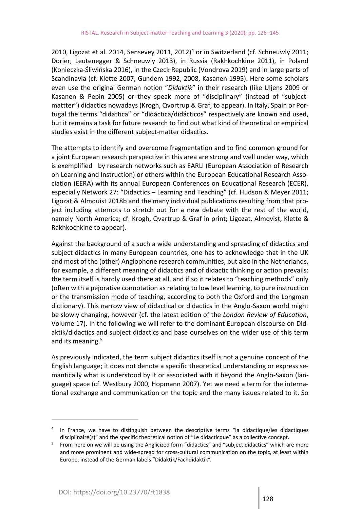2010, Ligozat et al. 2014, Sensevey 2011, 2012)<sup>4</sup> or in Switzerland (cf. Schneuwly 2011; Dorier, Leutenegger & Schneuwly 2013), in Russia (Rakhkochkine 2011), in Poland (Konieczka-Śliwińska 2016), in the Czeck Republic (Vondrova 2019) and in large parts of Scandinavia (cf. Klette 2007, Gundem 1992, 2008, Kasanen 1995). Here some scholars even use the original German notion "*Didaktik*" in their research (like Uljens 2009 or Kasanen & Pepin 2005) or they speak more of "disciplinary" (instead of "subjectmattter") didactics nowadays (Krogh, Qvortrup & Graf, to appear). In Italy, Spain or Portugal the terms "didattica" or "didáctica/didácticos" respectively are known and used, but it remains a task for future research to find out what kind of theoretical or empirical studies exist in the different subject-matter didactics.

The attempts to identify and overcome fragmentation and to find common ground for a joint European research perspective in this area are strong and well under way, which is exemplified by research networks such as EARLI (European Association of Research on Learning and Instruction) or others within the European Educational Research Association (EERA) with its annual European Conferences on Educational Research (ECER), especially Network 27: "Didactics – Learning and Teaching" (cf. Hudson & Meyer 2011; Ligozat & Almquist 2018b and the many individual publications resulting from that project including attempts to stretch out for a new debate with the rest of the world, namely North America; cf. Krogh, Qvartrup & Graf in print; Ligozat, Almqvist, Klette & Rakhkochkine to appear).

Against the background of a such a wide understanding and spreading of didactics and subject didactics in many European countries, one has to acknowledge that in the UK and most of the (other) Anglophone research communities, but also in the Netherlands, for example, a different meaning of didactics and of didactic thinking or action prevails: the term itself is hardly used there at all, and if so it relates to "teaching methods" only (often with a pejorative connotation as relating to low level learning, to pure instruction or the transmission mode of teaching, according to both the Oxford and the Longman dictionary). This narrow view of didactical or didactics in the Anglo-Saxon world might be slowly changing, however (cf. the latest edition of the *London Review of Education*, Volume 17). In the following we will refer to the dominant European discourse on Didaktik/didactics and subject didactics and base ourselves on the wider use of this term and its meaning.<sup>5</sup>

As previously indicated, the term subject didactics itself is not a genuine concept of the English language; it does not denote a specific theoretical understanding or express semantically what is understood by it or associated with it beyond the Anglo-Saxon (language) space (cf. Westbury 2000, Hopmann 2007). Yet we need a term for the international exchange and communication on the topic and the many issues related to it. So

<sup>4</sup> In France, we have to distinguish between the descriptive terms "la didactique/les didactiques disciplinaire(s)" and the specific theoretical notion of "Le didacticque" as a collective concept.

<sup>&</sup>lt;sup>5</sup> From here on we will be using the Anglicized form "didactics" and "subject didactics" which are more and more prominent and wide-spread for cross-cultural communication on the topic, at least within Europe, instead of the German labels "Didaktik/Fachdidaktik".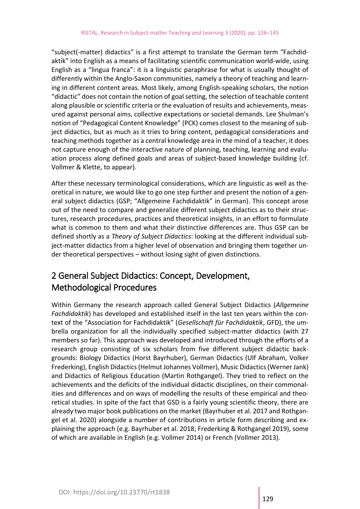"subject(-matter) didactics" is a first attempt to translate the German term "Fachdidaktik" into English as a means of facilitating scientific communication world-wide, using English as a "lingua franca": it is a linguistic paraphrase for what is usually thought of differently within the Anglo-Saxon communities, namely a theory of teaching and learning in different content areas. Most likely, among English-speaking scholars, the notion "didactic" does not contain the notion of goal setting, the selection of teachable content along plausible or scientific criteria or the evaluation of results and achievements, measured against personal aims, collective expectations or societal demands. Lee Shulman's notion of "Pedagogical Content Knowledge" (PCK) comes closest to the meaning of subject didactics, but as much as it tries to bring content, pedagogical considerations and teaching methods together as a central knowledge area in the mind of a teacher, it does not capture enough of the interactive nature of planning, teaching, learning and evaluation process along defined goals and areas of subject-based knowledge building (cf. Vollmer & Klette, to appear).

After these necessary terminological considerations, which are linguistic as well as theoretical in nature, we would like to go one step further and present the notion of a general subject didactics (GSP; "Allgemeine Fachdidaktik" in German). This concept arose out of the need to compare and generalize different subject didactics as to their structures, research procedures, practices and theoretical insights, in an effort to formulate what is common to them and what their distinctive differences are. Thus GSP can be defined shortly as a *Theory of Subject Didactics*: looking at the different individual subject-matter didactics from a higher level of observation and bringing them together under theoretical perspectives – without losing sight of given distinctions.

## 2 General Subject Didactics: Concept, Development, Methodological Procedures

Within Germany the research approach called General Subject Didactics (*Allgemeine Fachdidaktik*) has developed and established itself in the last ten years within the context of the "Association for Fachdidaktik" (*Gesellschaft für Fachdidaktik*, GFD), the umbrella organization for all the individually specified subject-matter didactics (with 27 members so far). This approach was developed and introduced through the efforts of a research group consisting of six scholars from five different subject didactic backgrounds: Biology Didactics (Horst Bayrhuber), German Didactics (Ulf Abraham, Volker Frederking), English Didactics (Helmut Johannes Vollmer), Music Didactics (Werner Jank) and Didactics of Religious Education (Martin Rothgangel). They tried to reflect on the achievements and the deficits of the individual didactic disciplines, on their commonalities and differences and on ways of modelling the results of these empirical and theoretical studies. In spite of the fact that GSD is a fairly young scientific theory, there are already two major book publications on the market (Bayrhuber et al. 2017 and Rothgangel et al. 2020) alongside a number of contributions in article form describing and explaining the approach (e.g. Bayrhuber et al. 2018; Frederking & Rothgangel 2019), some of which are available in English (e.g. Vollmer 2014) or French (Vollmer 2013).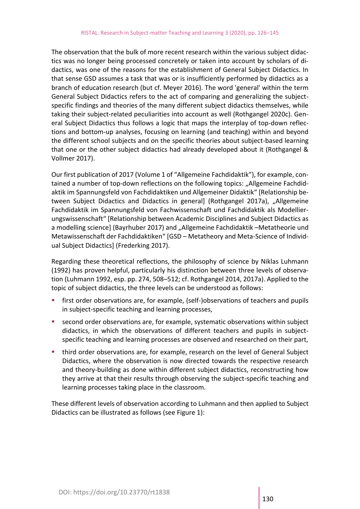The observation that the bulk of more recent research within the various subject didactics was no longer being processed concretely or taken into account by scholars of didactics, was one of the reasons for the establishment of General Subject Didactics. In that sense GSD assumes a task that was or is insufficiently performed by didactics as a branch of education research (but cf. Meyer 2016). The word 'general' within the term General Subject Didactics refers to the act of comparing and generalizing the subjectspecific findings and theories of the many different subject didactics themselves, while taking their subject-related peculiarities into account as well (Rothgangel 2020c). General Subject Didactics thus follows a logic that maps the interplay of top-down reflections and bottom-up analyses, focusing on learning (and teaching) within and beyond the different school subjects and on the specific theories about subject-based learning that one or the other subject didactics had already developed about it (Rothgangel & Vollmer 2017).

Our first publication of 2017 (Volume 1 of "Allgemeine Fachdidaktik"), for example, contained a number of top-down reflections on the following topics: "Allgemeine Fachdidaktik im Spannungsfeld von Fachdidaktiken und Allgemeiner Didaktik" [Relationship between Subject Didactics and Didactics in general] (Rothgangel 2017a), "Allgemeine Fachdidaktik im Spannungsfeld von Fachwissenschaft und Fachdidaktik als Modellierungswissenschaft" [Relationship between Academic Disciplines and Subject Didactics as a modelling science] (Bayrhuber 2017) and "Allgemeine Fachdidaktik -Metatheorie und Metawissenschaft der Fachdidaktiken" [GSD – Metatheory and Meta-Science of Individual Subject Didactics] (Frederking 2017).

Regarding these theoretical reflections, the philosophy of science by Niklas Luhmann (1992) has proven helpful, particularly his distinction between three levels of observation (Luhmann 1992, esp. pp. 274, 508–512; cf. Rothgangel 2014, 2017a). Applied to the topic of subject didactics, the three levels can be understood as follows:

- first order observations are, for example, (self-)observations of teachers and pupils in subject-specific teaching and learning processes,
- second order observations are, for example, systematic observations within subject didactics, in which the observations of different teachers and pupils in subjectspecific teaching and learning processes are observed and researched on their part,
- third order observations are, for example, research on the level of General Subject Didactics, where the observation is now directed towards the respective research and theory-building as done within different subject didactics, reconstructing how they arrive at that their results through observing the subject-specific teaching and learning processes taking place in the classroom.

These different levels of observation according to Luhmann and then applied to Subject Didactics can be illustrated as follows (see Figure 1):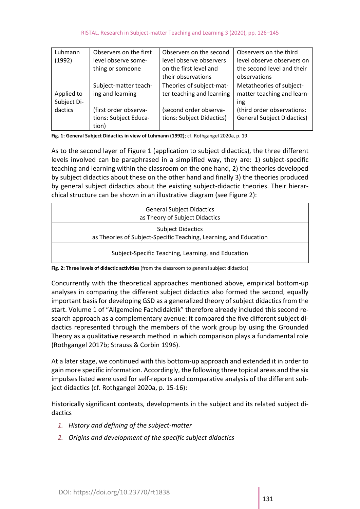| Luhmann<br>(1992)                    | Observers on the first<br>level observe some-<br>thing or someone                                    | Observers on the second<br>level observe observers<br>on the first level and<br>their observations           | Observers on the third<br>level observe observers on<br>the second level and their<br>observations                               |
|--------------------------------------|------------------------------------------------------------------------------------------------------|--------------------------------------------------------------------------------------------------------------|----------------------------------------------------------------------------------------------------------------------------------|
| Applied to<br>Subject Di-<br>dactics | Subject-matter teach-<br>ing and learning<br>(first order observa-<br>tions: Subject Educa-<br>tion) | Theories of subject-mat-<br>ter teaching and learning<br>(second order observa-<br>tions: Subject Didactics) | Metatheories of subject-<br>matter teaching and learn-<br>ing<br>(third order observations:<br><b>General Subject Didactics)</b> |

**Fig. 1: General Subject Didactics in view of Luhmann (1992)**; cf. Rothgangel 2020a, p. 19.

As to the second layer of Figure 1 (application to subject didactics), the three different levels involved can be paraphrased in a simplified way, they are: 1) subject-specific teaching and learning within the classroom on the one hand, 2) the theories developed by subject didactics about these on the other hand and finally 3) the theories produced by general subject didactics about the existing subject-didactic theories. Their hierarchical structure can be shown in an illustrative diagram (see Figure 2):

| <b>General Subject Didactics</b><br>as Theory of Subject Didactics                            |  |  |
|-----------------------------------------------------------------------------------------------|--|--|
| <b>Subject Didactics</b><br>as Theories of Subject-Specific Teaching, Learning, and Education |  |  |
| Subject-Specific Teaching, Learning, and Education                                            |  |  |

**Fig. 2: Three levels of didactic activities** (from the classroom to general subject didactics)

Concurrently with the theoretical approaches mentioned above, empirical bottom-up analyses in comparing the different subject didactics also formed the second, equally important basis for developing GSD as a generalized theory of subject didactics from the start. Volume 1 of "Allgemeine Fachdidaktik" therefore already included this second research approach as a complementary avenue: it compared the five different subject didactics represented through the members of the work group by using the Grounded Theory as a qualitative research method in which comparison plays a fundamental role (Rothgangel 2017b; Strauss & Corbin 1996).

At a later stage, we continued with this bottom-up approach and extended it in order to gain more specific information. Accordingly, the following three topical areas and the six impulses listed were used for self-reports and comparative analysis of the different subject didactics (cf. Rothgangel 2020a, p. 15-16):

Historically significant contexts, developments in the subject and its related subject didactics

- *1. History and defining of the subject-matter*
- *2. Origins and development of the specific subject didactics*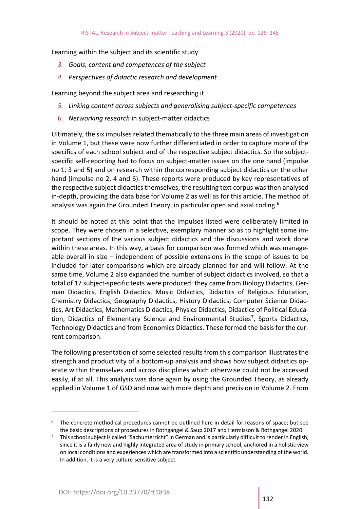Learning within the subject and its scientific study

- *3. Goals, content and competences of the subject*
- *4. Perspectives of didactic research and development*

Learning beyond the subject area and researching it

- *5. Linking content across subjects and generalising subject-specific competences*
- 6. *Networking research* in subject-matter didactics

Ultimately, the six impulses related thematically to the three main areas of investigation in Volume 1, but these were now further differentiated in order to capture more of the specifics of each school subject and of the respective subject didactics. So the subjectspecific self-reporting had to focus on subject-matter issues on the one hand (impulse no 1, 3 and 5) and on research within the corresponding subject didactics on the other hand (impulse no 2, 4 and 6). These reports were produced by key representatives of the respective subject didactics themselves; the resulting text corpus was then analysed in-depth, providing the data base for Volume 2 as well as for this article. The method of analysis was again the Grounded Theory, in particular open and axial coding.<sup>6</sup>

It should be noted at this point that the impulses listed were deliberately limited in scope. They were chosen in a selective, exemplary manner so as to highlight some important sections of the various subject didactics and the discussions and work done within these areas. In this way, a basis for comparison was formed which was manageable overall in size – independent of possible extensions in the scope of issues to be included for later comparisons which are already planned for and will follow. At the same time, Volume 2 also expanded the number of subject didactics involved, so that a total of 17 subject-specific texts were produced: they came from Biology Didactics, German Didactics, English Didactics, Music Didactics, Didactics of Religious Education, Chemistry Didactics, Geography Didactics, History Didactics, Computer Science Didactics, Art Didactics, Mathematics Didactics, Physics Didactics, Didactics of Political Education, Didactics of Elementary Science and Environmental Studies<sup>7</sup>, Sports Didactics, Technology Didactics and from Economics Didactics. These formed the basis for the current comparison.

The following presentation of some selected results from this comparison illustrates the strength and productivity of a bottom-up analysis and shows how subject didactics operate within themselves and across disciplines which otherwise could not be accessed easily, if at all. This analysis was done again by using the Grounded Theory, as already applied in Volume 1 of GSD and now with more depth and precision in Volume 2. From

The concrete methodical procedures cannot be outlined here in detail for reasons of space; but see the basic descriptions of procedures in Rothgangel & Saup 2017 and Hermisson & Rothgangel 2020.

 $7$  This school subject is called "Sachunterricht" in German and is particularly difficult to render in English, since it is a fairly new and highly integrated area of study in primary school, anchored in a holistic view on local conditions and experiences which are transformed into a scientific understanding of the world. In addition, it is a very culture-sensitive subject.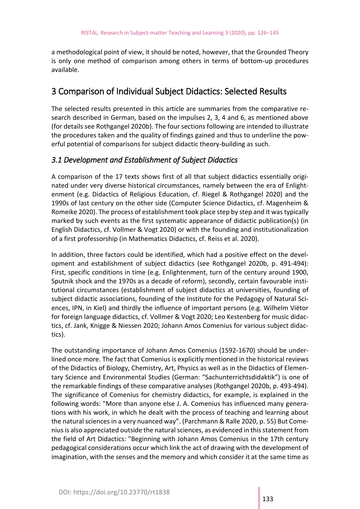a methodological point of view, it should be noted, however, that the Grounded Theory is only one method of comparison among others in terms of bottom-up procedures available.

### 3 Comparison of Individual Subject Didactics: Selected Results

The selected results presented in this article are summaries from the comparative research described in German, based on the impulses 2, 3, 4 and 6, as mentioned above (for details see Rothgangel 2020b). The four sections following are intended to illustrate the procedures taken and the quality of findings gained and thus to underline the powerful potential of comparisons for subject didactic theory-building as such.

#### *3.1 Development and Establishment of Subject Didactics*

A comparison of the 17 texts shows first of all that subject didactics essentially originated under very diverse historical circumstances, namely between the era of Enlightenment (e.g. Didactics of Religious Education, cf. Riegel & Rothgangel 2020) and the 1990s of last century on the other side (Computer Science Didactics, cf. Magenheim & Romeike 2020). The process of establishment took place step by step and it was typically marked by such events as the first systematic appearance of didactic publication(s) (in English Didactics, cf. Vollmer & Vogt 2020) or with the founding and institutionalization of a first professorship (in Mathematics Didactics, cf. Reiss et al. 2020).

In addition, three factors could be identified, which had a positive effect on the development and establishment of subject didactics (see Rothgangel 2020b, p. 491-494): First, specific conditions in time (e.g. Enlightenment, turn of the century around 1900, Sputnik shock and the 1970s as a decade of reform), secondly, certain favourable institutional circumstances (establishment of subject didactics at universities, founding of subject didactic associations, founding of the Institute for the Pedagogy of Natural Sciences, IPN, in Kiel) and thirdly the influence of important persons (e.g. Wilhelm Viëtor for foreign language didactics, cf. Vollmer & Vogt 2020; Leo Kestenberg for music didactics, cf. Jank, Knigge & Niessen 2020; Johann Amos Comenius for various subject didactics).

The outstanding importance of Johann Amos Comenius (1592-1670) should be underlined once more. The fact that Comenius is explicitly mentioned in the historical reviews of the Didactics of Biology, Chemistry, Art, Physics as well as in the Didactics of Elementary Science and Environmental Studies (German: "Sachunterrichtsdidaktik") is one of the remarkable findings of these comparative analyses (Rothgangel 2020b, p. 493-494). The significance of Comenius for chemistry didactics, for example, is explained in the following words: "More than anyone else J. A. Comenius has influenced many generations with his work, in which he dealt with the process of teaching and learning about the natural sciences in a very nuanced way". (Parchmann & Ralle 2020, p. 55) But Comenius is also appreciated outside the natural sciences, as evidenced in this statement from the field of Art Didactics: "Beginning with Johann Amos Comenius in the 17th century pedagogical considerations occur which link the act of drawing with the development of imagination, with the senses and the memory and which consider it at the same time as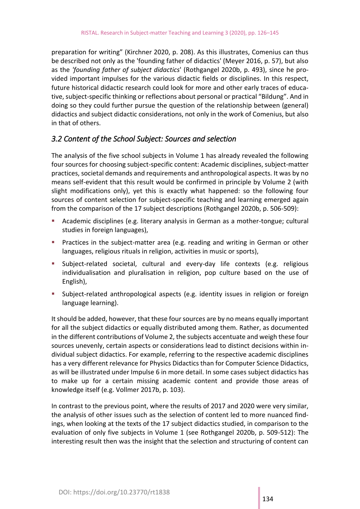preparation for writing" (Kirchner 2020, p. 208). As this illustrates, Comenius can thus be described not only as the 'founding father of didactics' (Meyer 2016, p. 57), but also as the *'founding father of subject didactics*' (Rothgangel 2020b, p. 493), since he provided important impulses for the various didactic fields or disciplines. In this respect, future historical didactic research could look for more and other early traces of educative, subject-specific thinking or reflections about personal or practical "Bildung". And in doing so they could further pursue the question of the relationship between (general) didactics and subject didactic considerations, not only in the work of Comenius, but also in that of others.

#### *3.2 Content of the School Subject: Sources and selection*

The analysis of the five school subjects in Volume 1 has already revealed the following four sources for choosing subject-specific content: Academic disciplines, subject-matter practices, societal demands and requirements and anthropological aspects. It was by no means self-evident that this result would be confirmed in principle by Volume 2 (with slight modifications only), yet this is exactly what happened: so the following four sources of content selection for subject-specific teaching and learning emerged again from the comparison of the 17 subject descriptions (Rothgangel 2020b, p. 506-509):

- Academic disciplines (e.g. literary analysis in German as a mother-tongue; cultural studies in foreign languages),
- **•** Practices in the subject-matter area (e.g. reading and writing in German or other languages, religious rituals in religion, activities in music or sports),
- Subject-related societal, cultural and every-day life contexts (e.g. religious individualisation and pluralisation in religion, pop culture based on the use of English),
- **EXECT-RETER INTERS In Subject-related anthropological aspects (e.g. identity issues in religion or foreign** language learning).

It should be added, however, that these four sources are by no means equally important for all the subject didactics or equally distributed among them. Rather, as documented in the different contributions of Volume 2, the subjects accentuate and weigh these four sources unevenly, certain aspects or considerations lead to distinct decisions within individual subject didactics. For example, referring to the respective academic disciplines has a very different relevance for Physics Didactics than for Computer Science Didactics, as will be illustrated under Impulse 6 in more detail. In some cases subject didactics has to make up for a certain missing academic content and provide those areas of knowledge itself (e.g. Vollmer 2017b, p. 103).

In contrast to the previous point, where the results of 2017 and 2020 were very similar, the analysis of other issues such as the selection of content led to more nuanced findings, when looking at the texts of the 17 subject didactics studied, in comparison to the evaluation of only five subjects in Volume 1 (see Rothgangel 2020b, p. 509-512): The interesting result then was the insight that the selection and structuring of content can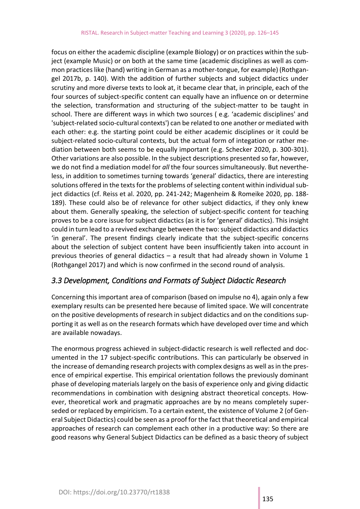focus on either the academic discipline (example Biology) or on practices within the subject (example Music) or on both at the same time (academic disciplines as well as common practices like (hand) writing in German as a mother-tongue, for example) (Rothgangel 2017b, p. 140). With the addition of further subjects and subject didactics under scrutiny and more diverse texts to look at, it became clear that, in principle, each of the four sources of subject-specific content can equally have an influence on or determine the selection, transformation and structuring of the subject-matter to be taught in school. There are different ways in which two sources ( e.g. 'academic disciplines' and 'subject-related socio-cultural contexts') can be related to one another or mediated with each other: e.g. the starting point could be either academic disciplines or it could be subject-related socio-cultural contexts, but the actual form of integation or rather mediation between both seems to be equally important (e.g. Schecker 2020, p. 300-301). Other variations are also possible. In the subject descriptions presented so far, however, we do not find a mediation model for *all* the four sources simultaneously. But nevertheless, in addition to sometimes turning towards 'general' didactics, there are interesting solutions offered in the texts for the problems of selecting content within individual subject didactics (cf. Reiss et al. 2020, pp. 241-242; Magenheim & Romeike 2020, pp. 188- 189). These could also be of relevance for other subject didactics, if they only knew about them. Generally speaking, the selection of subject-specific content for teaching proves to be a core issue for subject didactics (as it is for 'general' didactics). This insight could in turn lead to a revived exchange between the two: subject didactics and didactics 'in general'. The present findings clearly indicate that the subject-specific concerns about the selection of subject content have been insufficiently taken into account in previous theories of general didactics – a result that had already shown in Volume 1 (Rothgangel 2017) and which is now confirmed in the second round of analysis.

#### *3.3 Development, Conditions and Formats of Subject Didactic Research*

Concerning this important area of comparison (based on impulse no 4), again only a few exemplary results can be presented here because of limited space. We will concentrate on the positive developments of research in subject didactics and on the conditions supporting it as well as on the research formats which have developed over time and which are available nowadays.

The enormous progress achieved in subject-didactic research is well reflected and documented in the 17 subject-specific contributions. This can particularly be observed in the increase of demanding research projects with complex designs as well as in the presence of empirical expertise. This empirical orientation follows the previously dominant phase of developing materials largely on the basis of experience only and giving didactic recommendations in combination with designing abstract theoretical concepts. However, theoretical work and pragmatic approaches are by no means completely superseded or replaced by empiricism. To a certain extent, the existence of Volume 2 (of General Subject Didactics) could be seen as a proof for the fact that theoretical and empirical approaches of research can complement each other in a productive way: So there are good reasons why General Subject Didactics can be defined as a basic theory of subject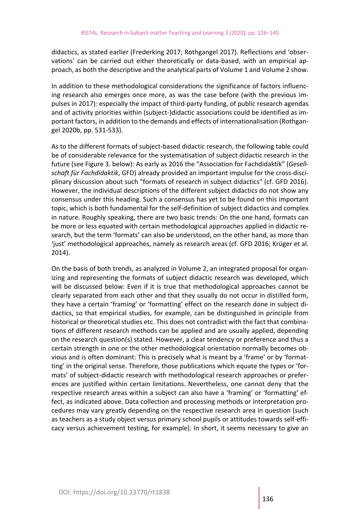didactics, as stated earlier (Frederking 2017; Rothgangel 2017). Reflections and 'observations' can be carried out either theoretically or data-based, with an empirical approach, as both the descriptive and the analytical parts of Volume 1 and Volume 2 show.

In addition to these methodological considerations the significance of factors influencing research also emerges once more, as was the case before (with the previous impulses in 2017): especially the impact of third-party funding, of public research agendas and of activity priorities within (subject-)didactic associations could be identified as important factors, in addition to the demands and effects of internationalisation (Rothgangel 2020b, pp. 531-533).

As to the different formats of subject-based didactic research, the following table could be of considerable relevance for the systematisation of subject didactic research in the future (see Figure 3. below): As early as 2016 the "Association for Fachdidaktik" (*Gesellschaft für Fachdidaktik*, GFD) already provided an important impulse for the cross-disciplinary discussion about such "formats of research in subject didactics" (cf. GFD 2016). However, the individual descriptions of the different subject didactics do not show any consensus under this heading. Such a consensus has yet to be found on this important topic, which is both fundamental for the self-definition of subject didactics and complex in nature. Roughly speaking, there are two basic trends: On the one hand, formats can be more or less equated with certain methodological approaches applied in didactic research, but the term 'formats' can also be understood, on the other hand, as more than 'just' methodological approaches, namely as research areas (cf. GFD 2016; Krüger et al. 2014).

On the basis of both trends, as analyzed in Volume 2, an integrated proposal for organizing and representing the formats of subject didactic research was developed, which will be discussed below: Even if it is true that methodological approaches cannot be clearly separated from each other and that they usually do not occur in distilled form, they have a certain 'framing' or 'formatting' effect on the research done in subject didactics, so that empirical studies, for example, can be distinguished in principle from historical or theoretical studies etc. This does not contradict with the fact that combinations of different research methods can be applied and are usually applied, depending on the research question(s) stated. However, a clear tendency or preference and thus a certain strength in one or the other methodological orientation normally becomes obvious and is often dominant: This is precisely what is meant by a 'frame' or by 'formatting' in the original sense. Therefore, those publications which equate the types or 'formats' of subject-didactic research with methodological research approaches or preferences are justified within certain limitations. Nevertheless, one cannot deny that the respective research areas within a subject can also have a 'framing' or 'formatting' effect, as indicated above. Data collection and processing methods or interpretation procedures may vary greatly depending on the respective research area in question (such as teachers as a study object versus primary school pupils or attitudes towards self-efficacy versus achievement testing, for example). In short, it seems necessary to give an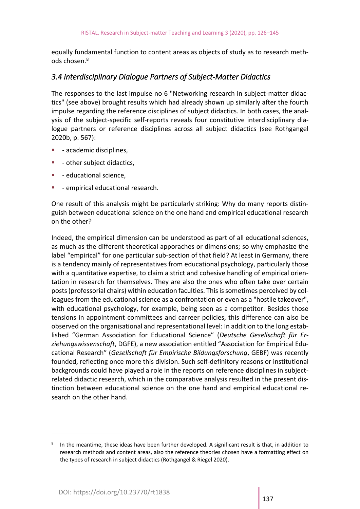equally fundamental function to content areas as objects of study as to research methods chosen.<sup>8</sup>

#### *3.4 Interdisciplinary Dialogue Partners of Subject-Matter Didactics*

The responses to the last impulse no 6 "Networking research in subject-matter didactics" (see above) brought results which had already shown up similarly after the fourth impulse regarding the reference disciplines of subject didactics. In both cases, the analysis of the subject-specific self-reports reveals four constitutive interdisciplinary dialogue partners or reference disciplines across all subject didactics (see Rothgangel 2020b, p. 567):

- academic disciplines,
- - other subject didactics,
- **■** educational science,
- **•** empirical educational research.

One result of this analysis might be particularly striking: Why do many reports distinguish between educational science on the one hand and empirical educational research on the other?

Indeed, the empirical dimension can be understood as part of all educational sciences, as much as the different theoretical apporaches or dimensions; so why emphasize the label "empirical" for one particular sub-section of that field? At least in Germany, there is a tendency mainly of representatives from educational psychology, particularly those with a quantitative expertise, to claim a strict and cohesive handling of empirical orientation in research for themselves. They are also the ones who often take over certain posts (professorial chairs) within education faculties. This is sometimes perceived by colleagues from the educational science as a confrontation or even as a "hostile takeover", with educational psychology, for example, being seen as a competitor. Besides those tensions in appointment committees and carreer policies, this difference can also be observed on the organisational and representational level: In addition to the long established "German Association for Educational Science" (*Deutsche Gesellschaft für Erziehungswissenschaft*, DGFE), a new association entitled "Association for Empirical Educational Research" (*Gesellschaft für Empirische Bildungsforschung*, GEBF) was recently founded, reflecting once more this division. Such self-definitory reasons or institutional backgrounds could have played a role in the reports on reference disciplines in subjectrelated didactic research, which in the comparative analysis resulted in the present distinction between educational science on the one hand and empirical educational research on the other hand.

<sup>8</sup> In the meantime, these ideas have been further developed. A significant result is that, in addition to research methods and content areas, also the reference theories chosen have a formatting effect on the types of research in subject didactics (Rothgangel & Riegel 2020).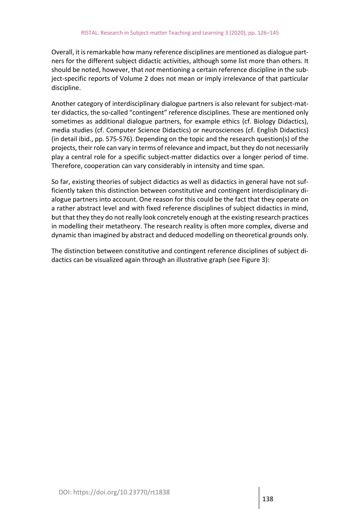Overall, it is remarkable how many reference disciplines are mentioned as dialogue partners for the different subject didactic activities, although some list more than others. It should be noted, however, that *not* mentioning a certain reference discipline in the subject-specific reports of Volume 2 does not mean or imply irrelevance of that particular discipline.

Another category of interdisciplinary dialogue partners is also relevant for subject-matter didactics, the so-called "contingent" reference disciplines. These are mentioned only sometimes as additional dialogue partners, for example ethics (cf. Biology Didactics), media studies (cf. Computer Science Didactics) or neurosciences (cf. English Didactics) (in detail ibid., pp. 575-576). Depending on the topic and the research question(s) of the projects, their role can vary in terms of relevance and impact, but they do not necessarily play a central role for a specific subject-matter didactics over a longer period of time. Therefore, cooperation can vary considerably in intensity and time span.

So far, existing theories of subject didactics as well as didactics in general have not sufficiently taken this distinction between constitutive and contingent interdisciplinary dialogue partners into account. One reason for this could be the fact that they operate on a rather abstract level and with fixed reference disciplines of subject didactics in mind, but that they they do not really look concretely enough at the existing research practices in modelling their metatheory. The research reality is often more complex, diverse and dynamic than imagined by abstract and deduced modelling on theoretical grounds only.

The distinction between constitutive and contingent reference disciplines of subject didactics can be visualized again through an illustrative graph (see Figure 3):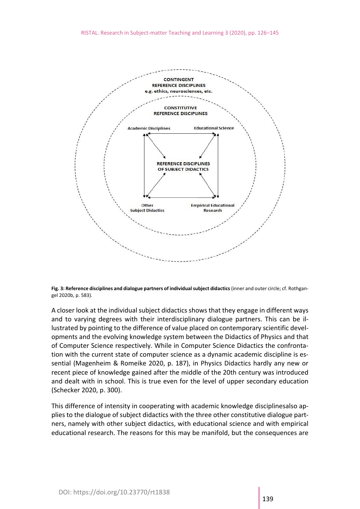

**Fig. 3: Reference disciplines and dialogue partners of individual subject didactics** (inner and outer circle; cf. Rothgangel 2020b, p. 583).

A closer look at the individual subject didactics shows that they engage in different ways and to varying degrees with their interdisciplinary dialogue partners. This can be illustrated by pointing to the difference of value placed on contemporary scientific developments and the evolving knowledge system between the Didactics of Physics and that of Computer Science respectively. While in Computer Science Didactics the confrontation with the current state of computer science as a dynamic academic discipline is essential (Magenheim & Romeike 2020, p. 187), in Physics Didactics hardly any new or recent piece of knowledge gained after the middle of the 20th century was introduced and dealt with in school. This is true even for the level of upper secondary education (Schecker 2020, p. 300).

This difference of intensity in cooperating with academic knowledge disciplinesalso applies to the dialogue of subject didactics with the three other constitutive dialogue partners, namely with other subject didactics, with educational science and with empirical educational research. The reasons for this may be manifold, but the consequences are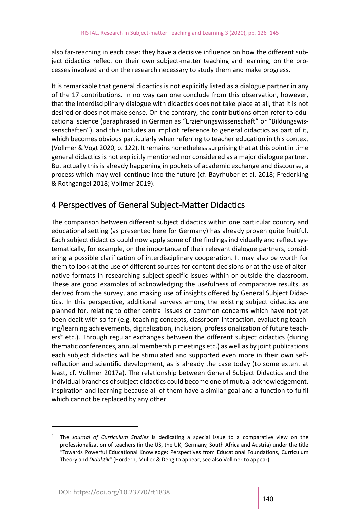also far-reaching in each case: they have a decisive influence on how the different subject didactics reflect on their own subject-matter teaching and learning, on the processes involved and on the research necessary to study them and make progress.

It is remarkable that general didactics is not explicitly listed as a dialogue partner in any of the 17 contributions. In no way can one conclude from this observation, however, that the interdisciplinary dialogue with didactics does not take place at all, that it is not desired or does not make sense. On the contrary, the contributions often refer to educational science (paraphrased in German as "Erziehungswissenschaft" or "Bildungswissenschaften"), and this includes an implicit reference to general didactics as part of it, which becomes obvious particularly when referring to teacher education in this context (Vollmer & Vogt 2020, p. 122). It remains nonetheless surprising that at this point in time general didactics is not explicitly mentioned nor considered as a major dialogue partner. But actually this is already happening in pockets of academic exchange and discourse, a process which may well continue into the future (cf. Bayrhuber et al. 2018; Frederking & Rothgangel 2018; Vollmer 2019).

## 4 Perspectives of General Subject-Matter Didactics

The comparison between different subject didactics within one particular country and educational setting (as presented here for Germany) has already proven quite fruitful. Each subject didactics could now apply some of the findings individually and reflect systematically, for example, on the importance of their relevant dialogue partners, considering a possible clarification of interdisciplinary cooperation. It may also be worth for them to look at the use of different sources for content decisions or at the use of alternative formats in researching subject-specific issues within or outside the classroom. These are good examples of acknowledging the usefulness of comparative results, as derived from the survey, and making use of insights offered by General Subject Didactics. In this perspective, additional surveys among the existing subject didactics are planned for, relating to other central issues or common concerns which have not yet been dealt with so far (e.g. teaching concepts, classroom interaction, evaluating teaching/learning achievements, digitalization, inclusion, professionalization of future teach $ers<sup>9</sup>$  etc.). Through regular exchanges between the different subject didactics (during thematic conferences, annual membership meetings etc.) as well as by joint publications each subject didactics will be stimulated and supported even more in their own selfreflection and scientific development, as is already the case today (to some extent at least, cf. Vollmer 2017a). The relationship between General Subject Didactics and the individual branches of subject didactics could become one of mutual acknowledgement, inspiration and learning because all of them have a similar goal and a function to fulfil which cannot be replaced by any other.

<sup>9</sup> The *Journal of Curriculum Studies* is dedicating a special issue to a comparative view on the professionalization of teachers (in the US, the UK, Germany, South Africa and Austria) under the title "Towards Powerful Educational Knowledge: Perspectives from Educational Foundations, Curriculum Theory and *Didaktik"* (Hordern, Muller & Deng to appear; see also Vollmer to appear).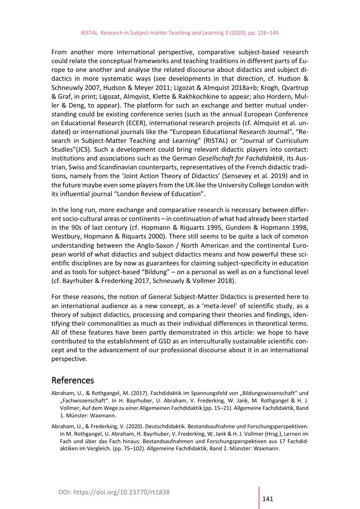From another more international perspective, comparative subject-based research could relate the conceptual frameworks and teaching traditions in different parts of Europe to one another and analyse the related discourse about didactics and subject didactics in more systematic ways (see developments in that direction, cf. Hudson & Schneuwly 2007, Hudson & Meyer 2011; Ligozat & Almquist 2018a+b; Krogh, Qvartrup & Graf, in print; Ligozat, Almqvist, Klette & Rakhkochkine to appear; also Hordern, Muller & Deng, to appear). The platform for such an exchange and better mutual understanding could be existing conference series (such as the annual European Conference on Educational Research (ECER), international research projects (cf. Almquist et al. undated) or international journals like the "European Educational Research Journal", "Research in Subject-Matter Teaching and Learning" (RISTAL) or "Journal of Curriculum Studies"(JCS). Such a development could bring relevant didactic players into contact: institutions and associations such as the German *Gesellschaft for Fachdidaktik*, its Austrian, Swiss and Scandinavian counterparts, representatives of the French didactic traditions, namely from the 'Joint Action Theory of Didactics' (Sensevey et al. 2019) and in the future maybe even some players from the UK like the University College London with its influential journal "London Review of Education".

In the long run, more exchange and comparative research is necessary between different socio-cultural areas or continents – in continuation of what had already been started in the 90s of last century (cf. Hopmann & Riquarts 1995, Gundem & Hopmann 1998, Westbury, Hopmann & Riquarts 2000). There still seems to be quite a lack of common understanding between the Anglo-Saxon / North American and the continental European world of what didactics and subject didactics means and how powerful these scientific disciplines are by now as guarantees for claiming subject-specificity in education and as tools for subject-based "Bildung" – on a personal as well as on a functional level (cf. Bayrhuber & Frederking 2017, Schneuwly & Vollmer 2018).

For these reasons, the notion of General Subject-Matter Didactics is presented here to an international audience as a new concept, as a 'meta-level' of scientific study, as a theory of subject didactics, processing and comparing their theories and findings, identifying their commonalities as much as their individual differences in theoretical terms. All of these features have been partly demonstrated in this article: we hope to have contributed to the establishment of GSD as an interculturally sustainable scientific concept and to the advancement of our professional discourse about it in an international perspective.

#### References

- Abraham, U., & Rothgangel, M. (2017). Fachdidaktik im Spannungsfeld von "Bildungswissenschaft" und "Fachwissenschaft". In H. Bayrhuber, U. Abraham, V. Frederking, W. Jank, M. Rothgangel & H. J. Vollmer, Auf dem Wege zu einer Allgemeinen Fachdidaktik (pp. 15–21). Allgemeine Fachdidaktik, Band 1. Münster: Waxmann.
- Abraham, U., & Frederking, V. (2020). Deutschdidaktik. Bestandsaufnahme und Forschungsperspektiven. In M. Rothgangel, U. Abraham, H. Bayrhuber, V. Frederking, W. Jank & H. J. Vollmer (Hrsg.), Lernen im Fach und über das Fach hinaus: Bestandsaufnahmen und Forschungsperspektiven aus 17 Fachdidaktiken im Vergleich. (pp. 75–102). Allgemeine Fachdidaktik, Band 2. Münster: Waxmann.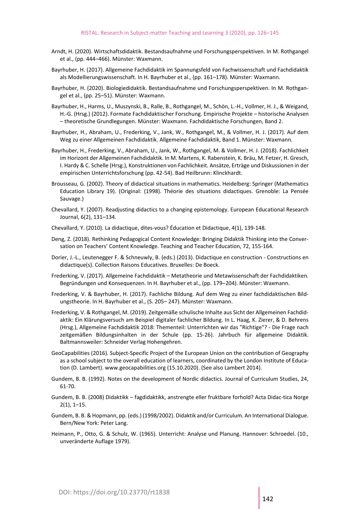- Arndt, H. (2020). Wirtschaftsdidaktik. Bestandsaufnahme und Forschungsperspektiven. In M. Rothgangel et al., (pp. 444–466). Münster: Waxmann.
- Bayrhuber, H. (2017). Allgemeine Fachdidaktik im Spannungsfeld von Fachwissenschaft und Fachdidaktik als Modellierungswissenschaft. In H. Bayrhuber et al., (pp. 161–178). Münster: Waxmann.
- Bayrhuber, H. (2020). Biologiedidaktik. Bestandsaufnahme und Forschungsperspektiven. In M. Rothgangel et al., (pp. 25–51). Münster: Waxmann.
- Bayrhuber, H., Harms, U., Muszynski, B., Ralle, B., Rothgangel, M., Schön, L.-H., Vollmer, H. J., & Weigand, H.-G. (Hrsg.) (2012). Formate Fachdidaktischer Forschung. Empirische Projekte – historische Analysen – theoretische Grundlegungen. Münster: Waxmann. Fachdidaktische Forschungen, Band 2.
- Bayrhuber, H., Abraham, U., Frederking, V., Jank, W., Rothgangel, M., & Vollmer, H. J. (2017). Auf dem Weg zu einer Allgemeinen Fachdidaktik. Allgemeine Fachdidaktik, Band 1. Münster: Waxmann.
- Bayrhuber, H., Frederking, V., Abraham, U., Jank, W., Rothgangel, M. & Vollmer, H. J. (2018). Fachlichkeit im Horizont der Allgemeinen Fachdidaktik. In M. Martens, K. Rabenstein, K. Bräu, M. Fetzer, H. Gresch, I. Hardy & C. Schelle (Hrsg.), Konstruktionen von Fachlichkeit. Ansätze, Erträge und Diskussionen in der empirischen Unterrichtsforschung (pp. 42-54). Bad Heilbrunn: Klinckhardt.
- Brousseau, G. (2002). Theory of didactical situations in mathematics. Heidelberg: Springer (Mathematics Education Library 19). (Original: (1998). Théorie des situations didactiques. Grenoble: La Pensée Sauvage.)
- Chevallard, Y. (2007). Readjusting didactics to a changing epistemology. European Educational Research Journal, 6(2), 131–134.
- Chevallard, Y. (2010). La didactique, dites-vous? Éducation et Didactique, 4(1), 139-148.
- Deng, Z. (2018). Rethinking Pedagogical Content Knowledge: Bringing Didaktik Thinking into the Conversation on Teachers' Content Knowledge. Teaching and Teacher Education, 72, 155-164.
- Dorier, J.-L., Leutenegger F. & Schneuwly, B. (eds.) (2013). Didactique en construction Constructions en didactique(s). Collection Raisons Educatives. Bruxelles: De Boeck.
- Frederking, V. (2017). Allgemeine Fachdidaktik Metatheorie und Metawissenschaft der Fachdidaktiken. Begründungen und Konsequenzen. In H. Bayrhuber et al., (pp. 179–204). Münster: Waxmann.
- Frederking, V. & Bayrhuber, H. (2017). Fachliche Bildung. Auf dem Weg zu einer fachdidaktischen Bildungstheorie. In H. Bayrhuber et al., (S. 205– 247). Münster: Waxmann.
- Frederking, V. & Rothgangel, M. (2019). Zeitgemäße schulische Inhalte aus Sicht der Allgemeinen Fachdidaktik: Ein Klärungsversuch am Beispiel digitaler fachlicher Bildung. In L. Haag, K. Zierer, & D. Behrens (Hrsg.), Allgemeine Fachdidaktik 2018: Thementeil: Unterrichten wir das "Richtige"? - Die Frage nach zeitgemäßen Bildungsinhalten in der Schule (pp. 15-26). Jahrbuch für allgemeine Didaktik. Baltmannsweiler: Schneider Verlag Hohengehren.
- GeoCapabilities (2016). Subject-Specific Project of the European Union on the contribution of Geography as a school subject to the overall education of learners, coordinated by the London Institute of Education (D. Lambert). www.geocapabilities.org (15.10.2020). (See also Lambert 2014).
- Gundem, B. B. (1992). Notes on the development of Nordic didactics. Journal of Curriculum Studies, 24, 61-70.
- Gundem, B. B. (2008) Didaktikk fagdidaktikk, anstrengte eller fruktbare forhold? Acta Didac-tica Norge 2(1), 1–15.
- Gundem, B. B. & Hopmann, pp. (eds.) (1998/2002). Didaktik and/or Curriculum. An International Dialogue. Bern/New York: Peter Lang.
- Heimann, P., Otto, G. & Schulz, W. (1965). Unterricht: Analyse und Planung. Hannover: Schroedel. (10., unveränderte Auflage 1979).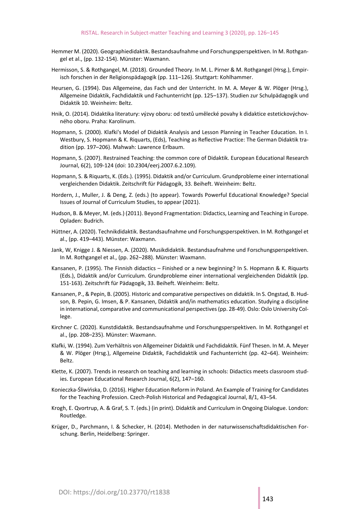- Hemmer M. (2020). Geographiedidaktik. Bestandsaufnahme und Forschungsperspektiven. In M. Rothgangel et al., (pp. 132-154). Münster: Waxmann.
- Hermisson, S. & Rothgangel, M. (2018). Grounded Theory. In M. L. Pirner & M. Rothgangel (Hrsg.), Empirisch forschen in der Religionspädagogik (pp. 111–126). Stuttgart: Kohlhammer.
- Heursen, G. (1994). Das Allgemeine, das Fach und der Unterricht. In M. A. Meyer & W. Plöger (Hrsg.), Allgemeine Didaktik, Fachdidaktik und Fachunterricht (pp. 125–137). Studien zur Schulpädagogik und Didaktik 10. Weinheim: Beltz.
- Hnik, O. (2014). Didaktika literatury: výzvy oboru: od textů umělecké povahy k didaktice estetickovýchovného oboru. Praha: Karolinum.
- Hopmann, S. (2000). Klafki's Model of Didaktik Analysis and Lesson Planning in Teacher Education. In I. Westbury, S. Hopmann & K. Riquarts, (Eds), Teaching as Reflective Practice: The German Didaktik tradition (pp. 197–206). Mahwah: Lawrence Erlbaum.
- Hopmann, S. (2007). Restrained Teaching: the common core of Didaktik. European Educational Research Journal, 6(2), 109-124 (doi: 10.2304/eerj.2007.6.2.109).
- Hopmann, S. & Riquarts, K. (Eds.). (1995). Didaktik and/or Curriculum. Grundprobleme einer international vergleichenden Didaktik. Zeitschrift für Pädagogik, 33. Beiheft. Weinheim: Beltz.
- Hordern, J., Muller, J. & Deng, Z. (eds.) (to appear). Towards Powerful Educational Knowledge? Special Issues of Journal of Curriculum Studies, to appear (2021).
- Hudson, B. & Meyer, M. (eds.) (2011). Beyond Fragmentation: Didactics, Learning and Teaching in Europe. Opladen: Budrich.
- Hüttner, A. (2020). Technikdidaktik. Bestandsaufnahme und Forschungsperspektiven. In M. Rothgangel et al., (pp. 419–443). Münster: Waxmann.
- Jank, W, Knigge J. & Niessen, A. (2020). Musikdidaktik. Bestandsaufnahme und Forschungsperspektiven. In M. Rothgangel et al., (pp. 262–288). Münster: Waxmann.
- Kansanen, P. (1995). The Finnish didactics Finished or a new beginning? In S. Hopmann & K. Riquarts (Eds.), Didaktik and/or Curriculum. Grundprobleme einer international vergleichenden Didaktik (pp. 151-163). Zeitschrift für Pädagogik, 33. Beiheft. Weinheim: Beltz.
- Kansanen, P., & Pepin, B. (2005). Historic and comparative perspectives on didaktik. In S. Ongstad, B. Hudson, B. Pepin, G. Imsen, & P. Kansanen, Didaktik and/in mathematics education. Studying a discipline in international, comparative and communicational perspectives (pp. 28-49). Oslo: Oslo University College.
- Kirchner C. (2020). Kunstdidaktik. Bestandsaufnahme und Forschungsperspektiven. In M. Rothgangel et al., (pp. 208–235). Münster: Waxmann.
- Klafki, W. (1994). Zum Verhältnis von Allgemeiner Didaktik und Fachdidaktik. Fünf Thesen. In M. A. Meyer & W. Plöger (Hrsg.), Allgemeine Didaktik, Fachdidaktik und Fachunterricht (pp. 42–64). Weinheim: Beltz.
- Klette, K. (2007). Trends in research on teaching and learning in schools: Didactics meets classroom studies. European Educational Research Journal, 6(2), 147–160.
- Konieczka-Śliwińska, D. (2016). Higher Education Reform in Poland. An Example of Training for Candidates for the Teaching Profession. Czech-Polish Historical and Pedagogical Journal, 8/1, 43–54.
- Krogh, E. Qvortrup, A. & Graf, S. T. (eds.) (in print). Didaktik and Curriculum in Ongoing Dialogue. London: Routledge.
- Krüger, D., Parchmann, I. & Schecker, H. (2014). Methoden in der naturwissenschaftsdidaktischen Forschung. Berlin, Heidelberg: Springer.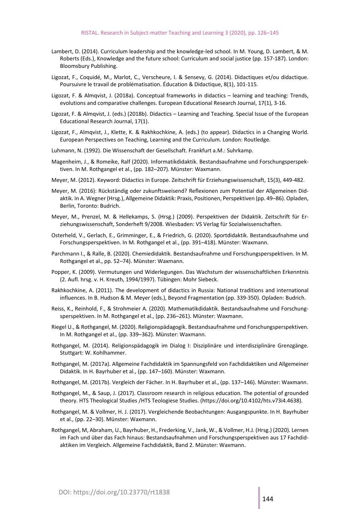- Lambert, D. (2014). Curriculum leadership and the knowledge-led school. In M. Young, D. Lambert, & M. Roberts (Eds.), Knowledge and the future school: Curriculum and social justice (pp. 157-187). London: Bloomsbury Publishing.
- Ligozat, F., Coquidé, M., Marlot, C., Verscheure, I. & Sensevy, G. (2014). Didactiques et/ou didactique. Poursuivre le travail de problématisation. Éducation & Didactique, 8(1), 101-115.
- Ligozat, F. & Almqvist, J. (2018a). Conceptual frameworks in didactics learning and teaching: Trends, evolutions and comparative challenges. European Educational Research Journal, 17(1), 3-16.
- Ligozat, F. & Almqvist, J. (eds.) (2018b). Didactics Learning and Teaching. Special Issue of the European Educational Research Journal, 17(1).
- Ligozat, F., Almqvist, J., Klette, K. & Rakhkochkine, A. (eds.) (to appear). Didactics in a Changing World. European Perspectives on Teaching, Learning and the Curriculum. London: Routledge.
- Luhmann, N. (1992). Die Wissenschaft der Gesellschaft. Frankfurt a.M.: Suhrkamp.
- Magenheim, J., & Romeike, Ralf (2020). Informatikdidaktik. Bestandsaufnahme und Forschungsperspektiven. In M. Rothgangel et al., (pp. 182–207). Münster: Waxmann.
- Meyer, M. (2012). Keyword: Didactics in Europe. Zeitschrift für Erziehungswissenschaft, 15(3), 449-482.
- Meyer, M. (2016): Rückständig oder zukunftsweisend? Reflexionen zum Potential der Allgemeinen Didaktik. In A. Wegner (Hrsg.), Allgemeine Didaktik: Praxis, Positionen, Perspektiven (pp. 49–86). Opladen, Berlin, Toronto: Budrich.
- Meyer, M., Prenzel, M. & Hellekamps, S. (Hrsg.) (2009). Perspektiven der Didaktik. Zeitschrift für Erziehungswissenschaft, Sonderheft 9/2008. Wiesbaden: VS Verlag für Sozialwissenschaften.
- Osterheld, V., Gerlach, E., Grimminger, E., & Friedrich, G. (2020). Sportdidaktik. Bestandsaufnahme und Forschungsperspektiven. In M. Rothgangel et al., (pp. 391–418). Münster: Waxmann.
- Parchmann I., & Ralle, B. (2020). Chemiedidaktik. Bestandsaufnahme und Forschungsperspektiven. In M. Rothgangel et al., pp. 52–74). Münster: Waxmann.
- Popper, K. (2009). Vermutungen und Widerlegungen. Das Wachstum der wissenschaftlichen Erkenntnis (2. Aufl. hrsg. v. H. Kreuth, 1994/1997). Tübingen: Mohr Siebeck.
- Rakhkochkine, A. (2011). The development of didactics in Russia: National traditions and international influences. In B. Hudson & M. Meyer (eds.), Beyond Fragmentation (pp. 339-350). Opladen: Budrich.
- Reiss, K., Reinhold, F., & Strohmeier A. (2020). Mathematikdidaktik. Bestandsaufnahme und Forschungsperspektiven. In M. Rothgangel et al., (pp. 236–261). Münster: Waxmann.
- Riegel U., & Rothgangel, M. (2020). Religionspädagogik. Bestandsaufnahme und Forschungsperspektiven. In M. Rothgangel et al., (pp. 339–362). Münster: Waxmann.
- Rothgangel, M. (2014). Religionspädagogik im Dialog I: Disziplinäre und interdisziplinäre Grenzgänge. Stuttgart: W. Kohlhammer.
- Rothgangel, M. (2017a). Allgemeine Fachdidaktik im Spannungsfeld von Fachdidaktiken und Allgemeiner Didaktik. In H. Bayrhuber et al., (pp. 147–160). Münster: Waxmann.
- Rothgangel, M. (2017b). Vergleich der Fächer. In H. Bayrhuber et al., (pp. 137–146). Münster: Waxmann.
- Rothgangel, M., & Saup, J. (2017). Classroom research in religious education. The potential of grounded theory. HTS Theological Studies /HTS Teologiese Studies. (https://doi.org/10.4102/hts.v73i4.4638).
- Rothgangel, M. & Vollmer, H. J. (2017). Vergleichende Beobachtungen: Ausgangspunkte. In H. Bayrhuber et al., (pp. 22–30). Münster: Waxmann.
- Rothgangel, M, Abraham, U., Bayrhuber, H., Frederking, V., Jank, W., & Vollmer, H.J. (Hrsg.) (2020). Lernen im Fach und über das Fach hinaus: Bestandsaufnahmen und Forschungsperspektiven aus 17 Fachdidaktiken im Vergleich. Allgemeine Fachdidaktik, Band 2. Münster: Waxmann.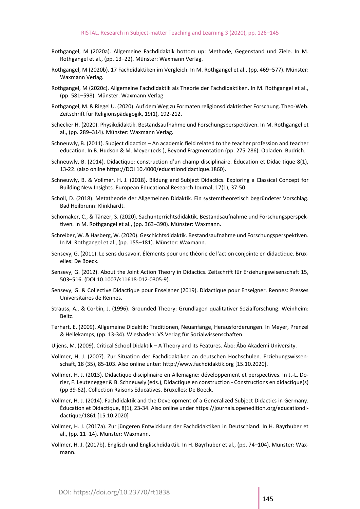- Rothgangel, M (2020a). Allgemeine Fachdidaktik bottom up: Methode, Gegenstand und Ziele. In M. Rothgangel et al., (pp. 13–22). Münster: Waxmann Verlag.
- Rothgangel, M (2020b). 17 Fachdidaktiken im Vergleich. In M. Rothgangel et al., (pp. 469–577). Münster: Waxmann Verlag.
- Rothgangel, M (2020c). Allgemeine Fachdidaktik als Theorie der Fachdidaktiken. In M. Rothgangel et al., (pp. 581–598). Münster: Waxmann Verlag.
- Rothgangel, M. & Riegel U. (2020). Auf dem Weg zu Formaten religionsdidaktischer Forschung. Theo-Web. Zeitschrift für Religionspädagogik, 19(1), 192-212.
- Schecker H. (2020). Physikdidaktik. Bestandsaufnahme und Forschungsperspektiven. In M. Rothgangel et al., (pp. 289–314). Münster: Waxmann Verlag.
- Schneuwly, B. (2011). Subject didactics An academic field related to the teacher profession and teacher education. In B. Hudson & M. Meyer (eds.), Beyond Fragmentation (pp. 275-286). Opladen: Budrich.
- Schneuwly, B. (2014). Didactique: construction d'un champ disciplinaire. Éducation et Didac tique 8(1), 13-22. (also online https://DOI 10.4000/educationdidactique.1860).
- Schneuwly, B. & Vollmer, H. J. (2018). Bildung and Subject Didactics. Exploring a Classical Concept for Building New Insights. European Educational Research Journal, 17(1), 37-50.
- Scholl, D. (2018). Metatheorie der Allgemeinen Didaktik. Ein systemtheoretisch begründeter Vorschlag. Bad Heilbrunn: Klinkhardt.
- Schomaker, C., & Tänzer, S. (2020). Sachunterrichtsdidaktik. Bestandsaufnahme und Forschungsperspektiven. In M. Rothgangel et al., (pp. 363–390). Münster: Waxmann.
- Schreiber, W. & Hasberg, W. (2020). Geschichtsdidaktik. Bestandsaufnahme und Forschungsperspektiven. In M. Rothgangel et al., (pp. 155–181). Münster: Waxmann.
- Sensevy, G. (2011). Le sens du savoir. Éléments pour une théorie de l'action conjointe en didactique. Bruxelles: De Boeck.
- Sensevy, G. (2012). About the Joint Action Theory in Didactics. Zeitschrift für Erziehungswisenschaft 15, 503–516. (DOI 10.1007/s11618-012-0305-9).
- Sensevy, G. & Collective Didactique pour Enseigner (2019). Didactique pour Enseigner. Rennes: Presses Universitaires de Rennes.
- Strauss, A., & Corbin, J. (1996). Grounded Theory: Grundlagen qualitativer Sozialforschung. Weinheim: Beltz.
- Terhart, E. (2009). Allgemeine Didaktik: Traditionen, Neuanfänge, Herausforderungen. In Meyer, Prenzel & Hellekamps, (pp. 13-34). Wiesbaden: VS Verlag für Sozialwissenschaften.
- Uljens, M. (2009). Critical School Didaktik A Theory and its Features. Åbo: Åbo Akademi University.
- Vollmer, H, J. (2007). Zur Situation der Fachdidaktiken an deutschen Hochschulen. Erziehungswissenschaft, 18 (35), 85-103. Also online unter: http://www.fachdidaktik.org [15.10.2020].
- Vollmer, H. J. (2013). Didactique disciplinaire en Allemagne: développement et perspectives. In J.-L. Dorier, F. Leutenegger & B. Schneuwly (eds.), Didactique en construction - Constructions en didactique(s) (pp 39-62). Collection Raisons Educatives. Bruxelles: De Boeck.
- Vollmer, H. J. (2014). Fachdidaktik and the Development of a Generalized Subject Didactics in Germany. Éducation et Didactique, 8(1), 23-34. Also online under https://journals.openedition.org/educationdidactique/1861 [15.10.2020]
- Vollmer, H. J. (2017a). Zur jüngeren Entwicklung der Fachdidaktiken in Deutschland. In H. Bayrhuber et al., (pp. 11–14). Münster: Waxmann.
- Vollmer, H. J. (2017b). Englisch und Englischdidaktik. In H. Bayrhuber et al., (pp. 74–104). Münster: Waxmann.